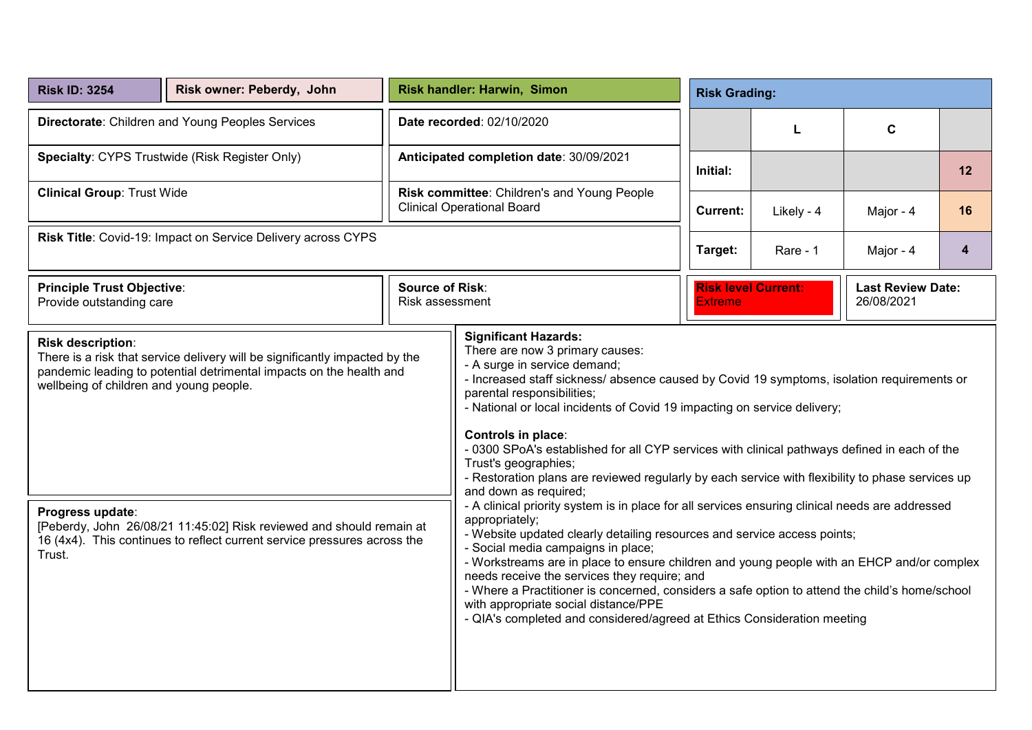| <b>Risk ID: 3254</b>                                                                                                                                                                                                                                                                                                                                                                                 | Risk owner: Peberdy, John |                                                                                  | Risk handler: Harwin, Simon                                                                                                                                                                                                                                                                                                                                                                                                                                                                                                                                                                                                                                                                                                                                                                                                                                                                                                                                                                                                                                                                                                                                                                 | <b>Risk Grading:</b>                                                                   |            |           |                |
|------------------------------------------------------------------------------------------------------------------------------------------------------------------------------------------------------------------------------------------------------------------------------------------------------------------------------------------------------------------------------------------------------|---------------------------|----------------------------------------------------------------------------------|---------------------------------------------------------------------------------------------------------------------------------------------------------------------------------------------------------------------------------------------------------------------------------------------------------------------------------------------------------------------------------------------------------------------------------------------------------------------------------------------------------------------------------------------------------------------------------------------------------------------------------------------------------------------------------------------------------------------------------------------------------------------------------------------------------------------------------------------------------------------------------------------------------------------------------------------------------------------------------------------------------------------------------------------------------------------------------------------------------------------------------------------------------------------------------------------|----------------------------------------------------------------------------------------|------------|-----------|----------------|
| Directorate: Children and Young Peoples Services                                                                                                                                                                                                                                                                                                                                                     |                           | Date recorded: 02/10/2020                                                        |                                                                                                                                                                                                                                                                                                                                                                                                                                                                                                                                                                                                                                                                                                                                                                                                                                                                                                                                                                                                                                                                                                                                                                                             |                                                                                        | L          | C         |                |
| Specialty: CYPS Trustwide (Risk Register Only)                                                                                                                                                                                                                                                                                                                                                       |                           | Anticipated completion date: 30/09/2021                                          |                                                                                                                                                                                                                                                                                                                                                                                                                                                                                                                                                                                                                                                                                                                                                                                                                                                                                                                                                                                                                                                                                                                                                                                             | Initial:                                                                               |            |           | 12             |
| <b>Clinical Group: Trust Wide</b>                                                                                                                                                                                                                                                                                                                                                                    |                           | Risk committee: Children's and Young People<br><b>Clinical Operational Board</b> |                                                                                                                                                                                                                                                                                                                                                                                                                                                                                                                                                                                                                                                                                                                                                                                                                                                                                                                                                                                                                                                                                                                                                                                             | <b>Current:</b>                                                                        | Likely - 4 | Major - 4 | 16             |
| Risk Title: Covid-19: Impact on Service Delivery across CYPS                                                                                                                                                                                                                                                                                                                                         |                           |                                                                                  |                                                                                                                                                                                                                                                                                                                                                                                                                                                                                                                                                                                                                                                                                                                                                                                                                                                                                                                                                                                                                                                                                                                                                                                             | Target:                                                                                | Rare - 1   | Major - 4 | $\overline{4}$ |
| <b>Source of Risk:</b><br><b>Principle Trust Objective:</b><br>Provide outstanding care<br>Risk assessment                                                                                                                                                                                                                                                                                           |                           |                                                                                  |                                                                                                                                                                                                                                                                                                                                                                                                                                                                                                                                                                                                                                                                                                                                                                                                                                                                                                                                                                                                                                                                                                                                                                                             | <b>Risk level Current:</b><br><b>Last Review Date:</b><br>26/08/2021<br><b>Extreme</b> |            |           |                |
| Risk description:<br>There is a risk that service delivery will be significantly impacted by the<br>pandemic leading to potential detrimental impacts on the health and<br>wellbeing of children and young people.<br>Progress update:<br>[Peberdy, John 26/08/21 11:45:02] Risk reviewed and should remain at<br>16 (4x4). This continues to reflect current service pressures across the<br>Trust. |                           |                                                                                  | <b>Significant Hazards:</b><br>There are now 3 primary causes:<br>- A surge in service demand;<br>- Increased staff sickness/ absence caused by Covid 19 symptoms, isolation requirements or<br>parental responsibilities;<br>- National or local incidents of Covid 19 impacting on service delivery;<br>Controls in place:<br>- 0300 SPoA's established for all CYP services with clinical pathways defined in each of the<br>Trust's geographies;<br>- Restoration plans are reviewed regularly by each service with flexibility to phase services up<br>and down as required;<br>- A clinical priority system is in place for all services ensuring clinical needs are addressed<br>appropriately;<br>- Website updated clearly detailing resources and service access points;<br>- Social media campaigns in place;<br>- Workstreams are in place to ensure children and young people with an EHCP and/or complex<br>needs receive the services they require; and<br>- Where a Practitioner is concerned, considers a safe option to attend the child's home/school<br>with appropriate social distance/PPE<br>- QIA's completed and considered/agreed at Ethics Consideration meeting |                                                                                        |            |           |                |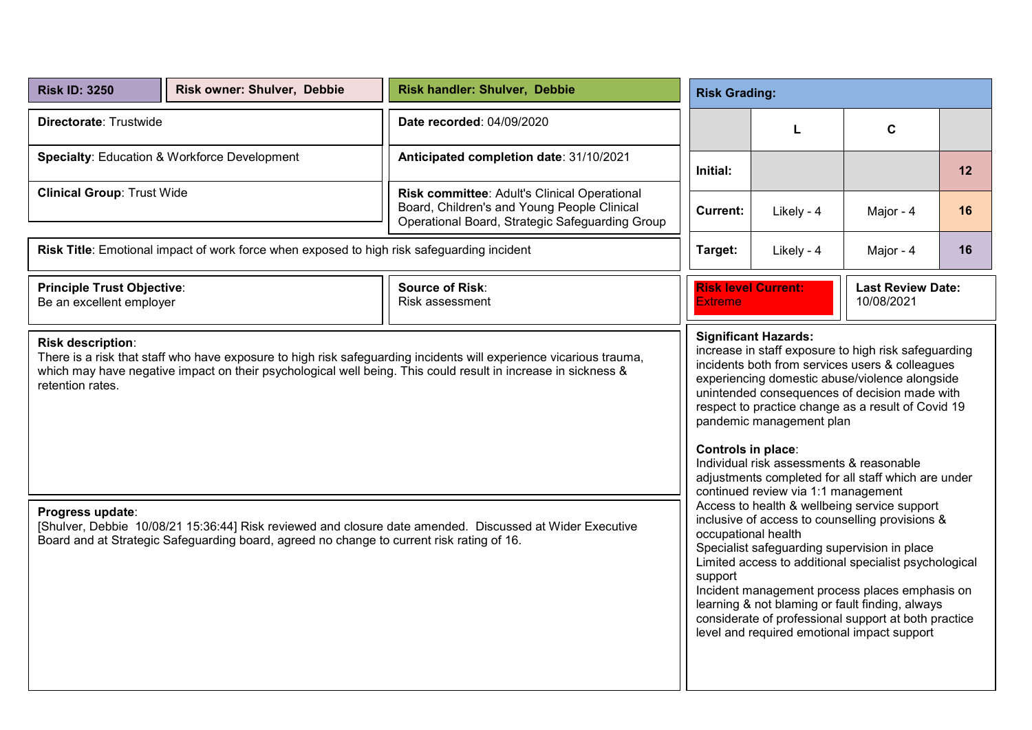| <b>Risk ID: 3250</b>                                                                                                                                                                                                                                                         | Risk owner: Shulver, Debbie | Risk handler: Shulver, Debbie<br><b>Risk Grading:</b>                                                                                          |                                                                                                                                                                                                                                                                                                                                                                                                                                                        |                                                                                                                                                                                                                                                                                                                                                                                                                                                              |             |    |  |  |
|------------------------------------------------------------------------------------------------------------------------------------------------------------------------------------------------------------------------------------------------------------------------------|-----------------------------|------------------------------------------------------------------------------------------------------------------------------------------------|--------------------------------------------------------------------------------------------------------------------------------------------------------------------------------------------------------------------------------------------------------------------------------------------------------------------------------------------------------------------------------------------------------------------------------------------------------|--------------------------------------------------------------------------------------------------------------------------------------------------------------------------------------------------------------------------------------------------------------------------------------------------------------------------------------------------------------------------------------------------------------------------------------------------------------|-------------|----|--|--|
| Directorate: Trustwide                                                                                                                                                                                                                                                       |                             | Date recorded: 04/09/2020                                                                                                                      |                                                                                                                                                                                                                                                                                                                                                                                                                                                        | L                                                                                                                                                                                                                                                                                                                                                                                                                                                            | $\mathbf c$ |    |  |  |
| <b>Specialty: Education &amp; Workforce Development</b>                                                                                                                                                                                                                      |                             | Anticipated completion date: 31/10/2021                                                                                                        | Initial:                                                                                                                                                                                                                                                                                                                                                                                                                                               |                                                                                                                                                                                                                                                                                                                                                                                                                                                              |             | 12 |  |  |
| <b>Clinical Group: Trust Wide</b>                                                                                                                                                                                                                                            |                             | Risk committee: Adult's Clinical Operational<br>Board, Children's and Young People Clinical<br>Operational Board, Strategic Safeguarding Group | <b>Current:</b>                                                                                                                                                                                                                                                                                                                                                                                                                                        | Likely - 4                                                                                                                                                                                                                                                                                                                                                                                                                                                   | Major - 4   | 16 |  |  |
| Risk Title: Emotional impact of work force when exposed to high risk safeguarding incident                                                                                                                                                                                   |                             |                                                                                                                                                | Target:                                                                                                                                                                                                                                                                                                                                                                                                                                                | Likely - 4                                                                                                                                                                                                                                                                                                                                                                                                                                                   | Major - 4   | 16 |  |  |
| <b>Principle Trust Objective:</b><br>Be an excellent employer                                                                                                                                                                                                                |                             | <b>Source of Risk:</b><br>Risk assessment                                                                                                      | <b>Risk level Current:</b><br><b>Last Review Date:</b><br>10/08/2021<br><b>Extreme</b>                                                                                                                                                                                                                                                                                                                                                                 |                                                                                                                                                                                                                                                                                                                                                                                                                                                              |             |    |  |  |
| Risk description:<br>There is a risk that staff who have exposure to high risk safeguarding incidents will experience vicarious trauma,<br>which may have negative impact on their psychological well being. This could result in increase in sickness &<br>retention rates. |                             |                                                                                                                                                |                                                                                                                                                                                                                                                                                                                                                                                                                                                        | increase in staff exposure to high risk safeguarding<br>incidents both from services users & colleagues<br>experiencing domestic abuse/violence alongside<br>unintended consequences of decision made with<br>respect to practice change as a result of Covid 19<br>pandemic management plan<br>Controls in place:<br>Individual risk assessments & reasonable<br>adjustments completed for all staff which are under<br>continued review via 1:1 management |             |    |  |  |
| Progress update:<br>[Shulver, Debbie 10/08/21 15:36:44] Risk reviewed and closure date amended. Discussed at Wider Executive<br>Board and at Strategic Safeguarding board, agreed no change to current risk rating of 16.                                                    |                             |                                                                                                                                                | Access to health & wellbeing service support<br>inclusive of access to counselling provisions &<br>occupational health<br>Specialist safeguarding supervision in place<br>Limited access to additional specialist psychological<br>support<br>Incident management process places emphasis on<br>learning & not blaming or fault finding, always<br>considerate of professional support at both practice<br>level and required emotional impact support |                                                                                                                                                                                                                                                                                                                                                                                                                                                              |             |    |  |  |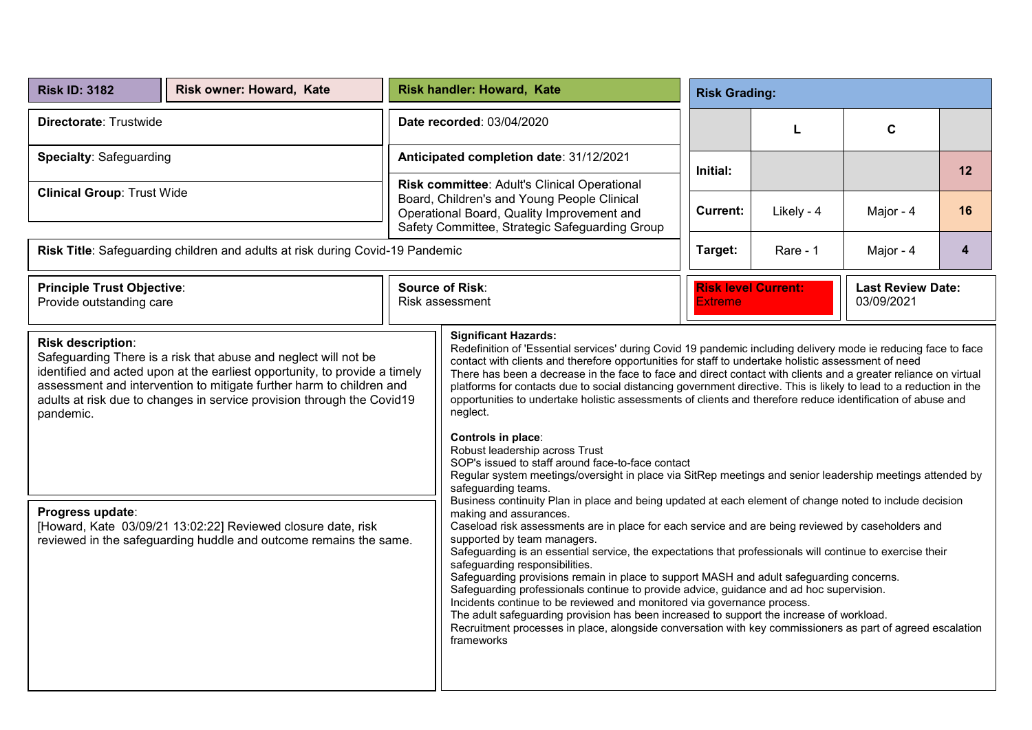| <b>Risk ID: 3182</b>                                                                                                                                                                                                                                                                                                                                                                                                                                                                       | Risk owner: Howard, Kate |                                                                                                                                                                                             | <b>Risk handler: Howard, Kate</b>                                                                                                                                                                                                                                                                                                                                                                                                                                                                                                                                                                                                                                                                                                                                                                                                                                                                                                                                                                                                                                                                                                                                                                                                                                                                                                                                                                                                                                                                                                                                                                                                                                                                                                                                                           | <b>Risk Grading:</b>                         |            |                                        |    |
|--------------------------------------------------------------------------------------------------------------------------------------------------------------------------------------------------------------------------------------------------------------------------------------------------------------------------------------------------------------------------------------------------------------------------------------------------------------------------------------------|--------------------------|---------------------------------------------------------------------------------------------------------------------------------------------------------------------------------------------|---------------------------------------------------------------------------------------------------------------------------------------------------------------------------------------------------------------------------------------------------------------------------------------------------------------------------------------------------------------------------------------------------------------------------------------------------------------------------------------------------------------------------------------------------------------------------------------------------------------------------------------------------------------------------------------------------------------------------------------------------------------------------------------------------------------------------------------------------------------------------------------------------------------------------------------------------------------------------------------------------------------------------------------------------------------------------------------------------------------------------------------------------------------------------------------------------------------------------------------------------------------------------------------------------------------------------------------------------------------------------------------------------------------------------------------------------------------------------------------------------------------------------------------------------------------------------------------------------------------------------------------------------------------------------------------------------------------------------------------------------------------------------------------------|----------------------------------------------|------------|----------------------------------------|----|
| Directorate: Trustwide                                                                                                                                                                                                                                                                                                                                                                                                                                                                     |                          | Date recorded: 03/04/2020                                                                                                                                                                   |                                                                                                                                                                                                                                                                                                                                                                                                                                                                                                                                                                                                                                                                                                                                                                                                                                                                                                                                                                                                                                                                                                                                                                                                                                                                                                                                                                                                                                                                                                                                                                                                                                                                                                                                                                                             |                                              | L          | $\mathbf c$                            |    |
| <b>Specialty: Safeguarding</b>                                                                                                                                                                                                                                                                                                                                                                                                                                                             |                          | Anticipated completion date: 31/12/2021                                                                                                                                                     |                                                                                                                                                                                                                                                                                                                                                                                                                                                                                                                                                                                                                                                                                                                                                                                                                                                                                                                                                                                                                                                                                                                                                                                                                                                                                                                                                                                                                                                                                                                                                                                                                                                                                                                                                                                             | Initial:                                     |            |                                        | 12 |
| <b>Clinical Group: Trust Wide</b>                                                                                                                                                                                                                                                                                                                                                                                                                                                          |                          | Risk committee: Adult's Clinical Operational<br>Board, Children's and Young People Clinical<br>Operational Board, Quality Improvement and<br>Safety Committee, Strategic Safeguarding Group |                                                                                                                                                                                                                                                                                                                                                                                                                                                                                                                                                                                                                                                                                                                                                                                                                                                                                                                                                                                                                                                                                                                                                                                                                                                                                                                                                                                                                                                                                                                                                                                                                                                                                                                                                                                             | <b>Current:</b>                              | Likely - 4 | Major - 4                              | 16 |
| Risk Title: Safeguarding children and adults at risk during Covid-19 Pandemic                                                                                                                                                                                                                                                                                                                                                                                                              |                          |                                                                                                                                                                                             |                                                                                                                                                                                                                                                                                                                                                                                                                                                                                                                                                                                                                                                                                                                                                                                                                                                                                                                                                                                                                                                                                                                                                                                                                                                                                                                                                                                                                                                                                                                                                                                                                                                                                                                                                                                             | Target:                                      | Rare - 1   | Major - 4                              | 4  |
| <b>Principle Trust Objective:</b><br>Provide outstanding care                                                                                                                                                                                                                                                                                                                                                                                                                              |                          | <b>Source of Risk:</b><br>Risk assessment                                                                                                                                                   |                                                                                                                                                                                                                                                                                                                                                                                                                                                                                                                                                                                                                                                                                                                                                                                                                                                                                                                                                                                                                                                                                                                                                                                                                                                                                                                                                                                                                                                                                                                                                                                                                                                                                                                                                                                             | <b>Risk level Current:</b><br><b>Extreme</b> |            | <b>Last Review Date:</b><br>03/09/2021 |    |
| Risk description:<br>Safeguarding There is a risk that abuse and neglect will not be<br>identified and acted upon at the earliest opportunity, to provide a timely<br>assessment and intervention to mitigate further harm to children and<br>adults at risk due to changes in service provision through the Covid19<br>pandemic.<br>Progress update:<br>[Howard, Kate 03/09/21 13:02:22] Reviewed closure date, risk<br>reviewed in the safeguarding huddle and outcome remains the same. |                          |                                                                                                                                                                                             | <b>Significant Hazards:</b><br>Redefinition of 'Essential services' during Covid 19 pandemic including delivery mode ie reducing face to face<br>contact with clients and therefore opportunities for staff to undertake holistic assessment of need<br>There has been a decrease in the face to face and direct contact with clients and a greater reliance on virtual<br>platforms for contacts due to social distancing government directive. This is likely to lead to a reduction in the<br>opportunities to undertake holistic assessments of clients and therefore reduce identification of abuse and<br>neglect.<br>Controls in place:<br>Robust leadership across Trust<br>SOP's issued to staff around face-to-face contact<br>Regular system meetings/oversight in place via SitRep meetings and senior leadership meetings attended by<br>safeguarding teams.<br>Business continuity Plan in place and being updated at each element of change noted to include decision<br>making and assurances.<br>Caseload risk assessments are in place for each service and are being reviewed by caseholders and<br>supported by team managers.<br>Safeguarding is an essential service, the expectations that professionals will continue to exercise their<br>safeguarding responsibilities.<br>Safeguarding provisions remain in place to support MASH and adult safeguarding concerns.<br>Safeguarding professionals continue to provide advice, guidance and ad hoc supervision.<br>Incidents continue to be reviewed and monitored via governance process.<br>The adult safeguarding provision has been increased to support the increase of workload.<br>Recruitment processes in place, alongside conversation with key commissioners as part of agreed escalation<br>frameworks |                                              |            |                                        |    |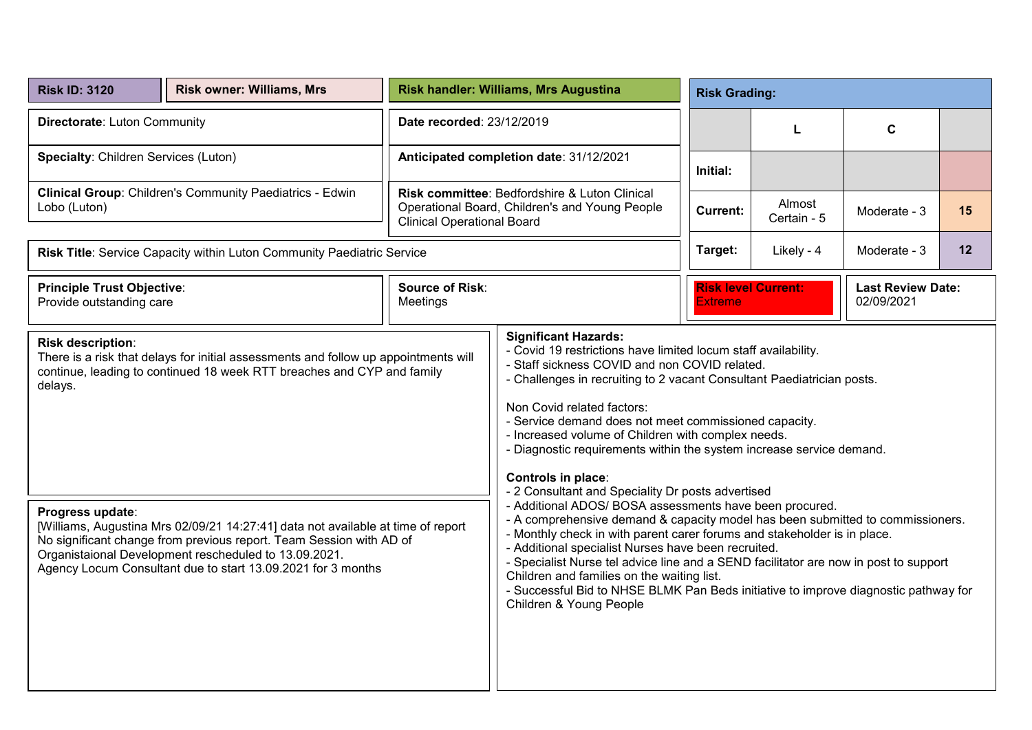| <b>Risk ID: 3120</b>                                                                                                                                                                                                                                                                                                                                                                                                                                                                                         | <b>Risk owner: Williams, Mrs</b>                                       | Risk handler: Williams, Mrs Augustina                                                                                                | <b>Risk Grading:</b>                                                                                                                                                                                                                                                                                                                                                                                                                                                                                                                                                                                                                                                                                                                                                                                                                                                                                                                                                                                                                                             |                                              |                       |                                        |    |
|--------------------------------------------------------------------------------------------------------------------------------------------------------------------------------------------------------------------------------------------------------------------------------------------------------------------------------------------------------------------------------------------------------------------------------------------------------------------------------------------------------------|------------------------------------------------------------------------|--------------------------------------------------------------------------------------------------------------------------------------|------------------------------------------------------------------------------------------------------------------------------------------------------------------------------------------------------------------------------------------------------------------------------------------------------------------------------------------------------------------------------------------------------------------------------------------------------------------------------------------------------------------------------------------------------------------------------------------------------------------------------------------------------------------------------------------------------------------------------------------------------------------------------------------------------------------------------------------------------------------------------------------------------------------------------------------------------------------------------------------------------------------------------------------------------------------|----------------------------------------------|-----------------------|----------------------------------------|----|
| Directorate: Luton Community                                                                                                                                                                                                                                                                                                                                                                                                                                                                                 |                                                                        | Date recorded: 23/12/2019                                                                                                            |                                                                                                                                                                                                                                                                                                                                                                                                                                                                                                                                                                                                                                                                                                                                                                                                                                                                                                                                                                                                                                                                  |                                              | L                     | C                                      |    |
| <b>Specialty: Children Services (Luton)</b>                                                                                                                                                                                                                                                                                                                                                                                                                                                                  |                                                                        | Anticipated completion date: 31/12/2021                                                                                              |                                                                                                                                                                                                                                                                                                                                                                                                                                                                                                                                                                                                                                                                                                                                                                                                                                                                                                                                                                                                                                                                  | Initial:                                     |                       |                                        |    |
| Clinical Group: Children's Community Paediatrics - Edwin<br>Lobo (Luton)                                                                                                                                                                                                                                                                                                                                                                                                                                     |                                                                        | Risk committee: Bedfordshire & Luton Clinical<br>Operational Board, Children's and Young People<br><b>Clinical Operational Board</b> |                                                                                                                                                                                                                                                                                                                                                                                                                                                                                                                                                                                                                                                                                                                                                                                                                                                                                                                                                                                                                                                                  | <b>Current:</b>                              | Almost<br>Certain - 5 | Moderate - 3                           | 15 |
|                                                                                                                                                                                                                                                                                                                                                                                                                                                                                                              | Risk Title: Service Capacity within Luton Community Paediatric Service |                                                                                                                                      |                                                                                                                                                                                                                                                                                                                                                                                                                                                                                                                                                                                                                                                                                                                                                                                                                                                                                                                                                                                                                                                                  | Target:                                      | Likely - 4            | Moderate - 3                           | 12 |
| <b>Principle Trust Objective:</b><br>Provide outstanding care                                                                                                                                                                                                                                                                                                                                                                                                                                                |                                                                        | <b>Source of Risk:</b><br>Meetings                                                                                                   |                                                                                                                                                                                                                                                                                                                                                                                                                                                                                                                                                                                                                                                                                                                                                                                                                                                                                                                                                                                                                                                                  | <b>Risk level Current:</b><br><b>Extreme</b> |                       | <b>Last Review Date:</b><br>02/09/2021 |    |
| <b>Risk description:</b><br>There is a risk that delays for initial assessments and follow up appointments will<br>continue, leading to continued 18 week RTT breaches and CYP and family<br>delays.<br>Progress update:<br>[Williams, Augustina Mrs 02/09/21 14:27:41] data not available at time of report<br>No significant change from previous report. Team Session with AD of<br>Organistaional Development rescheduled to 13.09.2021.<br>Agency Locum Consultant due to start 13.09.2021 for 3 months |                                                                        |                                                                                                                                      | <b>Significant Hazards:</b><br>- Covid 19 restrictions have limited locum staff availability.<br>- Staff sickness COVID and non COVID related.<br>- Challenges in recruiting to 2 vacant Consultant Paediatrician posts.<br>Non Covid related factors:<br>- Service demand does not meet commissioned capacity.<br>- Increased volume of Children with complex needs.<br>- Diagnostic requirements within the system increase service demand.<br>Controls in place:<br>- 2 Consultant and Speciality Dr posts advertised<br>- Additional ADOS/ BOSA assessments have been procured.<br>- A comprehensive demand & capacity model has been submitted to commissioners.<br>- Monthly check in with parent carer forums and stakeholder is in place.<br>- Additional specialist Nurses have been recruited.<br>- Specialist Nurse tel advice line and a SEND facilitator are now in post to support<br>Children and families on the waiting list.<br>- Successful Bid to NHSE BLMK Pan Beds initiative to improve diagnostic pathway for<br>Children & Young People |                                              |                       |                                        |    |